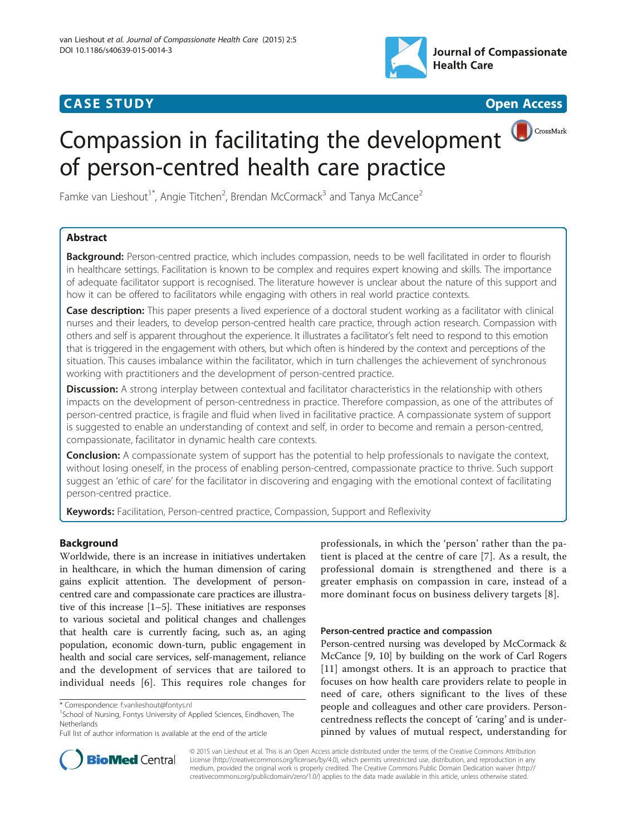# **CASE STUDY CASE STUDY Open Access**



**Journal of Compassionate** 



CrossMark

# Compassion in facilitating the development of person-centred health care practice

Famke van Lieshout<sup>1\*</sup>, Angie Titchen<sup>2</sup>, Brendan McCormack<sup>3</sup> and Tanya McCance<sup>2</sup>

# Abstract

Background: Person-centred practice, which includes compassion, needs to be well facilitated in order to flourish in healthcare settings. Facilitation is known to be complex and requires expert knowing and skills. The importance of adequate facilitator support is recognised. The literature however is unclear about the nature of this support and how it can be offered to facilitators while engaging with others in real world practice contexts.

Case description: This paper presents a lived experience of a doctoral student working as a facilitator with clinical nurses and their leaders, to develop person-centred health care practice, through action research. Compassion with others and self is apparent throughout the experience. It illustrates a facilitator's felt need to respond to this emotion that is triggered in the engagement with others, but which often is hindered by the context and perceptions of the situation. This causes imbalance within the facilitator, which in turn challenges the achievement of synchronous working with practitioners and the development of person-centred practice.

Discussion: A strong interplay between contextual and facilitator characteristics in the relationship with others impacts on the development of person-centredness in practice. Therefore compassion, as one of the attributes of person-centred practice, is fragile and fluid when lived in facilitative practice. A compassionate system of support is suggested to enable an understanding of context and self, in order to become and remain a person-centred, compassionate, facilitator in dynamic health care contexts.

**Conclusion:** A compassionate system of support has the potential to help professionals to navigate the context, without losing oneself, in the process of enabling person-centred, compassionate practice to thrive. Such support suggest an 'ethic of care' for the facilitator in discovering and engaging with the emotional context of facilitating person-centred practice.

Keywords: Facilitation, Person-centred practice, Compassion, Support and Reflexivity

# Background

Worldwide, there is an increase in initiatives undertaken in healthcare, in which the human dimension of caring gains explicit attention. The development of personcentred care and compassionate care practices are illustrative of this increase [[1](#page-6-0)–[5](#page-6-0)]. These initiatives are responses to various societal and political changes and challenges that health care is currently facing, such as, an aging population, economic down-turn, public engagement in health and social care services, self-management, reliance and the development of services that are tailored to individual needs [[6](#page-6-0)]. This requires role changes for

professionals, in which the 'person' rather than the patient is placed at the centre of care [[7](#page-6-0)]. As a result, the professional domain is strengthened and there is a greater emphasis on compassion in care, instead of a more dominant focus on business delivery targets [[8\]](#page-6-0).

## Person-centred practice and compassion

Person-centred nursing was developed by McCormack & McCance [[9](#page-6-0), [10\]](#page-6-0) by building on the work of Carl Rogers [[11\]](#page-6-0) amongst others. It is an approach to practice that focuses on how health care providers relate to people in need of care, others significant to the lives of these people and colleagues and other care providers. Personcentredness reflects the concept of 'caring' and is underpinned by values of mutual respect, understanding for



© 2015 van Lieshout et al. This is an Open Access article distributed under the terms of the Creative Commons Attribution License (<http://creativecommons.org/licenses/by/4.0>), which permits unrestricted use, distribution, and reproduction in any medium, provided the original work is properly credited. The Creative Commons Public Domain Dedication waiver [\(http://](http://creativecommons.org/publicdomain/zero/1.0/) [creativecommons.org/publicdomain/zero/1.0/\)](http://creativecommons.org/publicdomain/zero/1.0/) applies to the data made available in this article, unless otherwise stated.

<sup>\*</sup> Correspondence: [f.vanlieshout@fontys.nl](mailto:f.vanlieshout@fontys.nl) <sup>1</sup>

<sup>&</sup>lt;sup>1</sup>School of Nursing, Fontys University of Applied Sciences, Eindhoven, The Netherlands

Full list of author information is available at the end of the article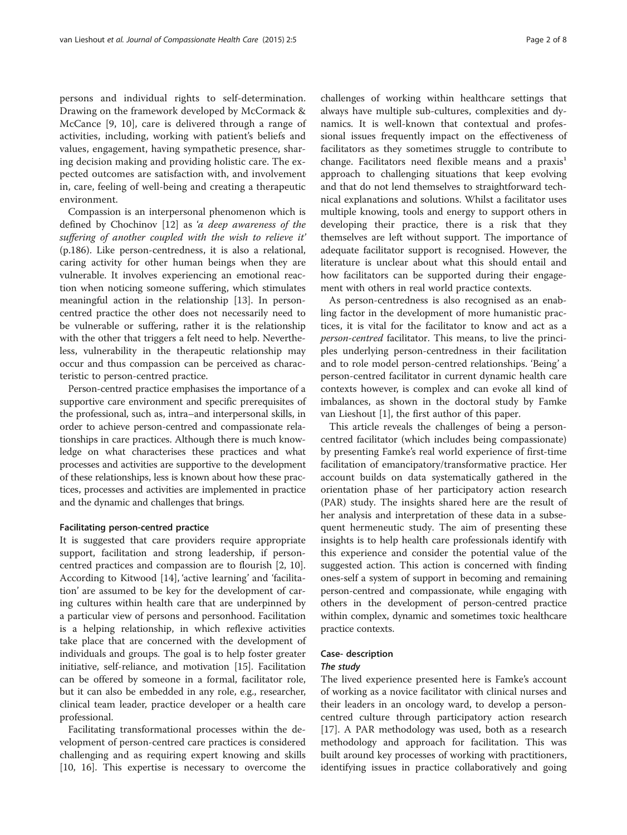persons and individual rights to self-determination. Drawing on the framework developed by McCormack & McCance [[9, 10](#page-6-0)], care is delivered through a range of activities, including, working with patient's beliefs and values, engagement, having sympathetic presence, sharing decision making and providing holistic care. The expected outcomes are satisfaction with, and involvement in, care, feeling of well-being and creating a therapeutic environment.

Compassion is an interpersonal phenomenon which is defined by Chochinov [[12\]](#page-6-0) as 'a deep awareness of the suffering of another coupled with the wish to relieve it' (p.186). Like person-centredness, it is also a relational, caring activity for other human beings when they are vulnerable. It involves experiencing an emotional reaction when noticing someone suffering, which stimulates meaningful action in the relationship [\[13](#page-6-0)]. In personcentred practice the other does not necessarily need to be vulnerable or suffering, rather it is the relationship with the other that triggers a felt need to help. Nevertheless, vulnerability in the therapeutic relationship may occur and thus compassion can be perceived as characteristic to person-centred practice.

Person-centred practice emphasises the importance of a supportive care environment and specific prerequisites of the professional, such as, intra–and interpersonal skills, in order to achieve person-centred and compassionate relationships in care practices. Although there is much knowledge on what characterises these practices and what processes and activities are supportive to the development of these relationships, less is known about how these practices, processes and activities are implemented in practice and the dynamic and challenges that brings.

#### Facilitating person-centred practice

It is suggested that care providers require appropriate support, facilitation and strong leadership, if personcentred practices and compassion are to flourish [[2, 10](#page-6-0)]. According to Kitwood [[14](#page-6-0)], 'active learning' and 'facilitation' are assumed to be key for the development of caring cultures within health care that are underpinned by a particular view of persons and personhood. Facilitation is a helping relationship, in which reflexive activities take place that are concerned with the development of individuals and groups. The goal is to help foster greater initiative, self-reliance, and motivation [[15\]](#page-6-0). Facilitation can be offered by someone in a formal, facilitator role, but it can also be embedded in any role, e.g., researcher, clinical team leader, practice developer or a health care professional.

Facilitating transformational processes within the development of person-centred care practices is considered challenging and as requiring expert knowing and skills [[10, 16\]](#page-6-0). This expertise is necessary to overcome the

challenges of working within healthcare settings that always have multiple sub-cultures, complexities and dynamics. It is well-known that contextual and professional issues frequently impact on the effectiveness of facilitators as they sometimes struggle to contribute to change. Facilitators need flexible means and a praxis<sup>1</sup> approach to challenging situations that keep evolving and that do not lend themselves to straightforward technical explanations and solutions. Whilst a facilitator uses multiple knowing, tools and energy to support others in developing their practice, there is a risk that they themselves are left without support. The importance of adequate facilitator support is recognised. However, the literature is unclear about what this should entail and how facilitators can be supported during their engagement with others in real world practice contexts.

As person-centredness is also recognised as an enabling factor in the development of more humanistic practices, it is vital for the facilitator to know and act as a person-centred facilitator. This means, to live the principles underlying person-centredness in their facilitation and to role model person-centred relationships. 'Being' a person-centred facilitator in current dynamic health care contexts however, is complex and can evoke all kind of imbalances, as shown in the doctoral study by Famke van Lieshout [\[1](#page-6-0)], the first author of this paper.

This article reveals the challenges of being a personcentred facilitator (which includes being compassionate) by presenting Famke's real world experience of first-time facilitation of emancipatory/transformative practice. Her account builds on data systematically gathered in the orientation phase of her participatory action research (PAR) study. The insights shared here are the result of her analysis and interpretation of these data in a subsequent hermeneutic study. The aim of presenting these insights is to help health care professionals identify with this experience and consider the potential value of the suggested action. This action is concerned with finding ones-self a system of support in becoming and remaining person-centred and compassionate, while engaging with others in the development of person-centred practice within complex, dynamic and sometimes toxic healthcare practice contexts.

#### Case- description

#### The study

The lived experience presented here is Famke's account of working as a novice facilitator with clinical nurses and their leaders in an oncology ward, to develop a personcentred culture through participatory action research [[17\]](#page-6-0). A PAR methodology was used, both as a research methodology and approach for facilitation. This was built around key processes of working with practitioners, identifying issues in practice collaboratively and going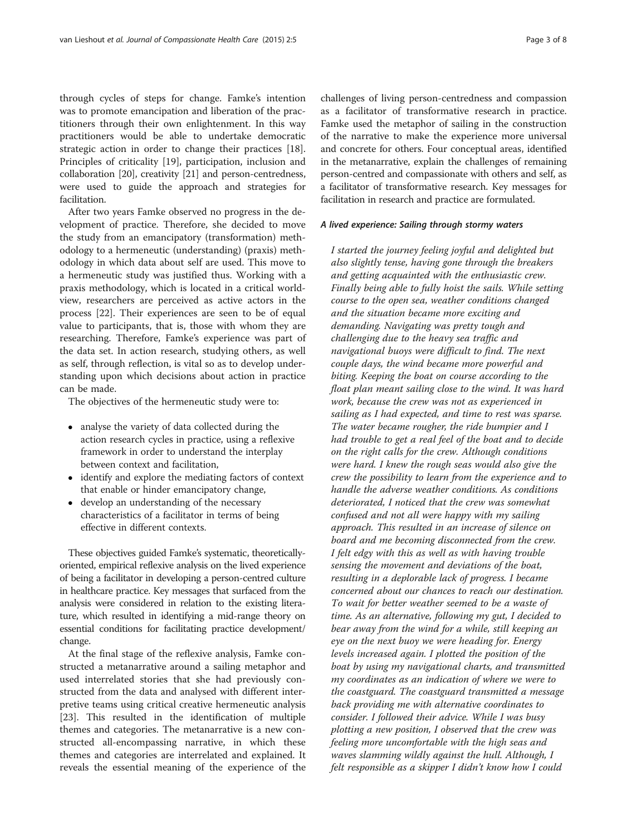through cycles of steps for change. Famke's intention was to promote emancipation and liberation of the practitioners through their own enlightenment. In this way practitioners would be able to undertake democratic strategic action in order to change their practices [\[18](#page-6-0)]. Principles of criticality [\[19](#page-6-0)], participation, inclusion and collaboration [[20](#page-6-0)], creativity [\[21](#page-7-0)] and person-centredness, were used to guide the approach and strategies for facilitation.

After two years Famke observed no progress in the development of practice. Therefore, she decided to move the study from an emancipatory (transformation) methodology to a hermeneutic (understanding) (praxis) methodology in which data about self are used. This move to a hermeneutic study was justified thus. Working with a praxis methodology, which is located in a critical worldview, researchers are perceived as active actors in the process [\[22](#page-7-0)]. Their experiences are seen to be of equal value to participants, that is, those with whom they are researching. Therefore, Famke's experience was part of the data set. In action research, studying others, as well as self, through reflection, is vital so as to develop understanding upon which decisions about action in practice can be made.

The objectives of the hermeneutic study were to:

- analyse the variety of data collected during the action research cycles in practice, using a reflexive framework in order to understand the interplay between context and facilitation,
- identify and explore the mediating factors of context that enable or hinder emancipatory change,
- develop an understanding of the necessary characteristics of a facilitator in terms of being effective in different contexts.

These objectives guided Famke's systematic, theoreticallyoriented, empirical reflexive analysis on the lived experience of being a facilitator in developing a person-centred culture in healthcare practice. Key messages that surfaced from the analysis were considered in relation to the existing literature, which resulted in identifying a mid-range theory on essential conditions for facilitating practice development/ change.

At the final stage of the reflexive analysis, Famke constructed a metanarrative around a sailing metaphor and used interrelated stories that she had previously constructed from the data and analysed with different interpretive teams using critical creative hermeneutic analysis [[23\]](#page-7-0). This resulted in the identification of multiple themes and categories. The metanarrative is a new constructed all-encompassing narrative, in which these themes and categories are interrelated and explained. It reveals the essential meaning of the experience of the challenges of living person-centredness and compassion as a facilitator of transformative research in practice. Famke used the metaphor of sailing in the construction of the narrative to make the experience more universal and concrete for others. Four conceptual areas, identified in the metanarrative, explain the challenges of remaining person-centred and compassionate with others and self, as a facilitator of transformative research. Key messages for facilitation in research and practice are formulated.

#### A lived experience: Sailing through stormy waters

I started the journey feeling joyful and delighted but also slightly tense, having gone through the breakers and getting acquainted with the enthusiastic crew. Finally being able to fully hoist the sails. While setting course to the open sea, weather conditions changed and the situation became more exciting and demanding. Navigating was pretty tough and challenging due to the heavy sea traffic and navigational buoys were difficult to find. The next couple days, the wind became more powerful and biting. Keeping the boat on course according to the float plan meant sailing close to the wind. It was hard work, because the crew was not as experienced in sailing as I had expected, and time to rest was sparse. The water became rougher, the ride bumpier and I had trouble to get a real feel of the boat and to decide on the right calls for the crew. Although conditions were hard. I knew the rough seas would also give the crew the possibility to learn from the experience and to handle the adverse weather conditions. As conditions deteriorated, I noticed that the crew was somewhat confused and not all were happy with my sailing approach. This resulted in an increase of silence on board and me becoming disconnected from the crew. I felt edgy with this as well as with having trouble sensing the movement and deviations of the boat, resulting in a deplorable lack of progress. I became concerned about our chances to reach our destination. To wait for better weather seemed to be a waste of time. As an alternative, following my gut, I decided to bear away from the wind for a while, still keeping an eye on the next buoy we were heading for. Energy levels increased again. I plotted the position of the boat by using my navigational charts, and transmitted my coordinates as an indication of where we were to the coastguard. The coastguard transmitted a message back providing me with alternative coordinates to consider. I followed their advice. While I was busy plotting a new position, I observed that the crew was feeling more uncomfortable with the high seas and waves slamming wildly against the hull. Although, I felt responsible as a skipper I didn't know how I could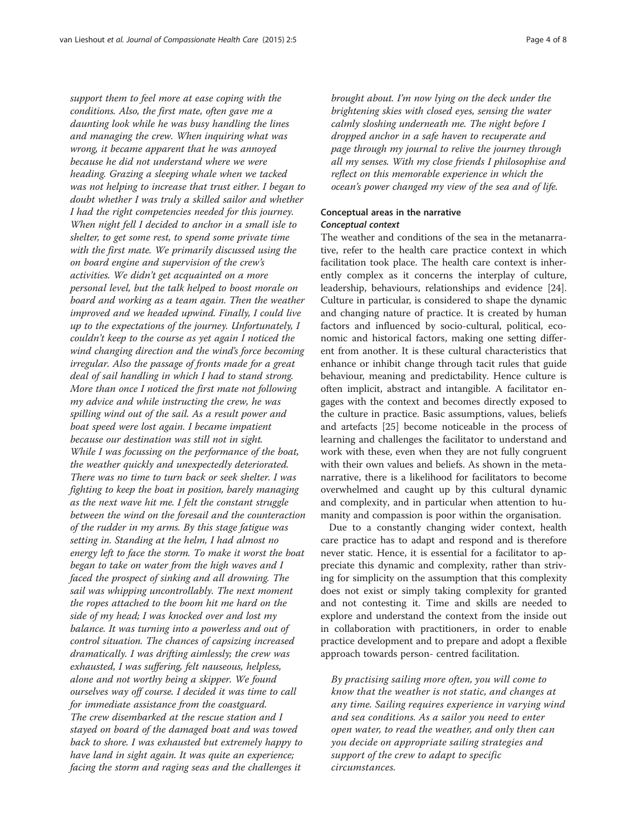support them to feel more at ease coping with the conditions. Also, the first mate, often gave me a daunting look while he was busy handling the lines and managing the crew. When inquiring what was wrong, it became apparent that he was annoyed because he did not understand where we were heading. Grazing a sleeping whale when we tacked was not helping to increase that trust either. I began to doubt whether I was truly a skilled sailor and whether I had the right competencies needed for this journey. When night fell I decided to anchor in a small isle to shelter, to get some rest, to spend some private time with the first mate. We primarily discussed using the on board engine and supervision of the crew's activities. We didn't get acquainted on a more personal level, but the talk helped to boost morale on board and working as a team again. Then the weather improved and we headed upwind. Finally, I could live up to the expectations of the journey. Unfortunately, I couldn't keep to the course as yet again I noticed the wind changing direction and the wind's force becoming irregular. Also the passage of fronts made for a great deal of sail handling in which I had to stand strong. More than once I noticed the first mate not following my advice and while instructing the crew, he was spilling wind out of the sail. As a result power and boat speed were lost again. I became impatient because our destination was still not in sight. While I was focussing on the performance of the boat, the weather quickly and unexpectedly deteriorated. There was no time to turn back or seek shelter. I was fighting to keep the boat in position, barely managing as the next wave hit me. I felt the constant struggle between the wind on the foresail and the counteraction of the rudder in my arms. By this stage fatigue was setting in. Standing at the helm, I had almost no energy left to face the storm. To make it worst the boat began to take on water from the high waves and I faced the prospect of sinking and all drowning. The sail was whipping uncontrollably. The next moment the ropes attached to the boom hit me hard on the side of my head; I was knocked over and lost my balance. It was turning into a powerless and out of control situation. The chances of capsizing increased dramatically. I was drifting aimlessly; the crew was exhausted, I was suffering, felt nauseous, helpless, alone and not worthy being a skipper. We found ourselves way off course. I decided it was time to call for immediate assistance from the coastguard. The crew disembarked at the rescue station and I stayed on board of the damaged boat and was towed back to shore. I was exhausted but extremely happy to have land in sight again. It was quite an experience; facing the storm and raging seas and the challenges it

brought about. I'm now lying on the deck under the brightening skies with closed eyes, sensing the water calmly sloshing underneath me. The night before I dropped anchor in a safe haven to recuperate and page through my journal to relive the journey through all my senses. With my close friends I philosophise and reflect on this memorable experience in which the ocean's power changed my view of the sea and of life.

## Conceptual areas in the narrative Conceptual context

The weather and conditions of the sea in the metanarrative, refer to the health care practice context in which facilitation took place. The health care context is inherently complex as it concerns the interplay of culture, leadership, behaviours, relationships and evidence [\[24](#page-7-0)]. Culture in particular, is considered to shape the dynamic and changing nature of practice. It is created by human factors and influenced by socio-cultural, political, economic and historical factors, making one setting different from another. It is these cultural characteristics that enhance or inhibit change through tacit rules that guide behaviour, meaning and predictability. Hence culture is often implicit, abstract and intangible. A facilitator engages with the context and becomes directly exposed to the culture in practice. Basic assumptions, values, beliefs and artefacts [\[25](#page-7-0)] become noticeable in the process of learning and challenges the facilitator to understand and work with these, even when they are not fully congruent with their own values and beliefs. As shown in the metanarrative, there is a likelihood for facilitators to become overwhelmed and caught up by this cultural dynamic and complexity, and in particular when attention to humanity and compassion is poor within the organisation.

Due to a constantly changing wider context, health care practice has to adapt and respond and is therefore never static. Hence, it is essential for a facilitator to appreciate this dynamic and complexity, rather than striving for simplicity on the assumption that this complexity does not exist or simply taking complexity for granted and not contesting it. Time and skills are needed to explore and understand the context from the inside out in collaboration with practitioners, in order to enable practice development and to prepare and adopt a flexible approach towards person- centred facilitation.

By practising sailing more often, you will come to know that the weather is not static, and changes at any time. Sailing requires experience in varying wind and sea conditions. As a sailor you need to enter open water, to read the weather, and only then can you decide on appropriate sailing strategies and support of the crew to adapt to specific circumstances.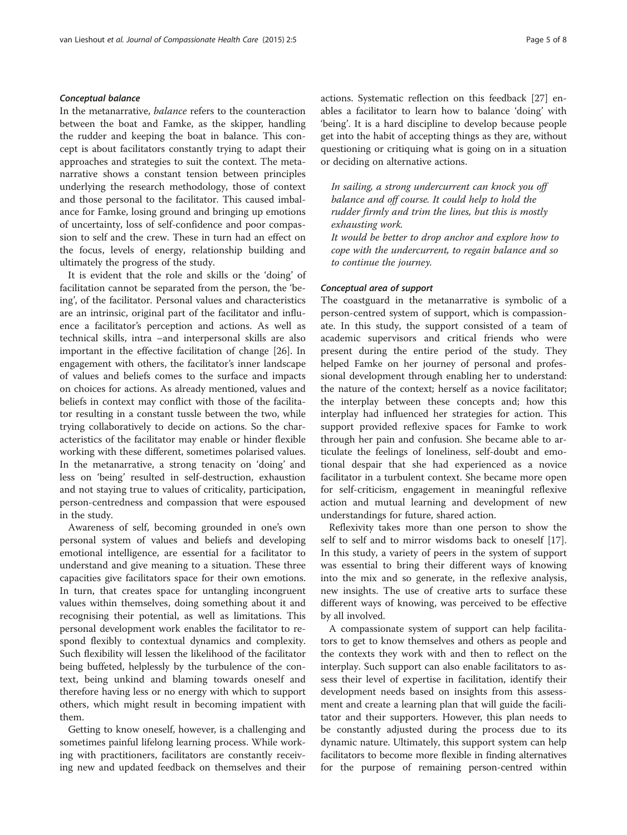#### Conceptual balance

In the metanarrative, balance refers to the counteraction between the boat and Famke, as the skipper, handling the rudder and keeping the boat in balance. This concept is about facilitators constantly trying to adapt their approaches and strategies to suit the context. The metanarrative shows a constant tension between principles underlying the research methodology, those of context and those personal to the facilitator. This caused imbalance for Famke, losing ground and bringing up emotions of uncertainty, loss of self-confidence and poor compassion to self and the crew. These in turn had an effect on the focus, levels of energy, relationship building and ultimately the progress of the study.

It is evident that the role and skills or the 'doing' of facilitation cannot be separated from the person, the 'being', of the facilitator. Personal values and characteristics are an intrinsic, original part of the facilitator and influence a facilitator's perception and actions. As well as technical skills, intra –and interpersonal skills are also important in the effective facilitation of change [[26\]](#page-7-0). In engagement with others, the facilitator's inner landscape of values and beliefs comes to the surface and impacts on choices for actions. As already mentioned, values and beliefs in context may conflict with those of the facilitator resulting in a constant tussle between the two, while trying collaboratively to decide on actions. So the characteristics of the facilitator may enable or hinder flexible working with these different, sometimes polarised values. In the metanarrative, a strong tenacity on 'doing' and less on 'being' resulted in self-destruction, exhaustion and not staying true to values of criticality, participation, person-centredness and compassion that were espoused in the study.

Awareness of self, becoming grounded in one's own personal system of values and beliefs and developing emotional intelligence, are essential for a facilitator to understand and give meaning to a situation. These three capacities give facilitators space for their own emotions. In turn, that creates space for untangling incongruent values within themselves, doing something about it and recognising their potential, as well as limitations. This personal development work enables the facilitator to respond flexibly to contextual dynamics and complexity. Such flexibility will lessen the likelihood of the facilitator being buffeted, helplessly by the turbulence of the context, being unkind and blaming towards oneself and therefore having less or no energy with which to support others, which might result in becoming impatient with them.

Getting to know oneself, however, is a challenging and sometimes painful lifelong learning process. While working with practitioners, facilitators are constantly receiving new and updated feedback on themselves and their actions. Systematic reflection on this feedback [[27\]](#page-7-0) enables a facilitator to learn how to balance 'doing' with 'being'. It is a hard discipline to develop because people get into the habit of accepting things as they are, without questioning or critiquing what is going on in a situation or deciding on alternative actions.

In sailing, a strong undercurrent can knock you off balance and off course. It could help to hold the rudder firmly and trim the lines, but this is mostly exhausting work.

It would be better to drop anchor and explore how to cope with the undercurrent, to regain balance and so to continue the journey.

#### Conceptual area of support

The coastguard in the metanarrative is symbolic of a person-centred system of support, which is compassionate. In this study, the support consisted of a team of academic supervisors and critical friends who were present during the entire period of the study. They helped Famke on her journey of personal and professional development through enabling her to understand: the nature of the context; herself as a novice facilitator; the interplay between these concepts and; how this interplay had influenced her strategies for action. This support provided reflexive spaces for Famke to work through her pain and confusion. She became able to articulate the feelings of loneliness, self-doubt and emotional despair that she had experienced as a novice facilitator in a turbulent context. She became more open for self-criticism, engagement in meaningful reflexive action and mutual learning and development of new understandings for future, shared action.

Reflexivity takes more than one person to show the self to self and to mirror wisdoms back to oneself [\[17](#page-6-0)]. In this study, a variety of peers in the system of support was essential to bring their different ways of knowing into the mix and so generate, in the reflexive analysis, new insights. The use of creative arts to surface these different ways of knowing, was perceived to be effective by all involved.

A compassionate system of support can help facilitators to get to know themselves and others as people and the contexts they work with and then to reflect on the interplay. Such support can also enable facilitators to assess their level of expertise in facilitation, identify their development needs based on insights from this assessment and create a learning plan that will guide the facilitator and their supporters. However, this plan needs to be constantly adjusted during the process due to its dynamic nature. Ultimately, this support system can help facilitators to become more flexible in finding alternatives for the purpose of remaining person-centred within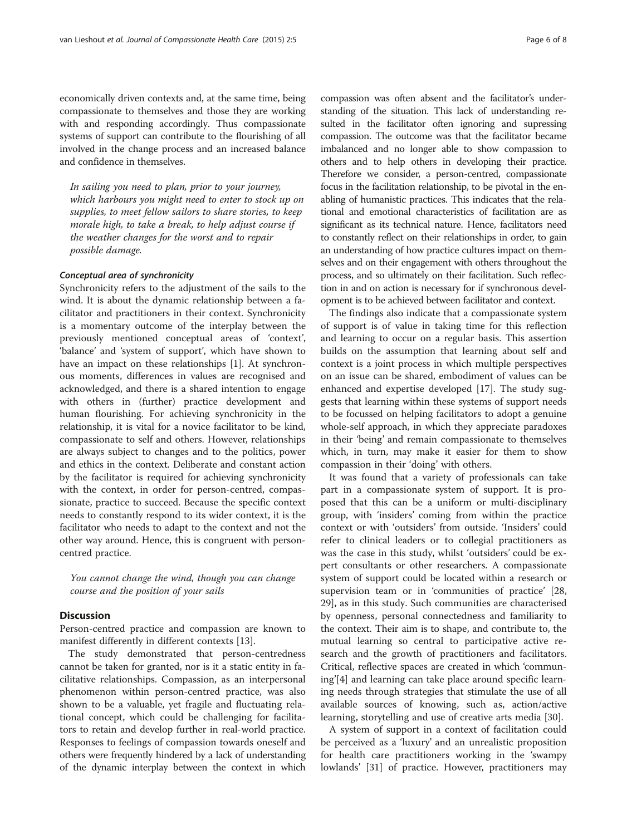economically driven contexts and, at the same time, being compassionate to themselves and those they are working with and responding accordingly. Thus compassionate systems of support can contribute to the flourishing of all involved in the change process and an increased balance and confidence in themselves.

In sailing you need to plan, prior to your journey, which harbours you might need to enter to stock up on supplies, to meet fellow sailors to share stories, to keep morale high, to take a break, to help adjust course if the weather changes for the worst and to repair possible damage.

#### Conceptual area of synchronicity

Synchronicity refers to the adjustment of the sails to the wind. It is about the dynamic relationship between a facilitator and practitioners in their context. Synchronicity is a momentary outcome of the interplay between the previously mentioned conceptual areas of 'context', 'balance' and 'system of support', which have shown to have an impact on these relationships [[1\]](#page-6-0). At synchronous moments, differences in values are recognised and acknowledged, and there is a shared intention to engage with others in (further) practice development and human flourishing. For achieving synchronicity in the relationship, it is vital for a novice facilitator to be kind, compassionate to self and others. However, relationships are always subject to changes and to the politics, power and ethics in the context. Deliberate and constant action by the facilitator is required for achieving synchronicity with the context, in order for person-centred, compassionate, practice to succeed. Because the specific context needs to constantly respond to its wider context, it is the facilitator who needs to adapt to the context and not the other way around. Hence, this is congruent with personcentred practice.

You cannot change the wind, though you can change course and the position of your sails

#### **Discussion**

Person-centred practice and compassion are known to manifest differently in different contexts [[13\]](#page-6-0).

The study demonstrated that person-centredness cannot be taken for granted, nor is it a static entity in facilitative relationships. Compassion, as an interpersonal phenomenon within person-centred practice, was also shown to be a valuable, yet fragile and fluctuating relational concept, which could be challenging for facilitators to retain and develop further in real-world practice. Responses to feelings of compassion towards oneself and others were frequently hindered by a lack of understanding of the dynamic interplay between the context in which

compassion was often absent and the facilitator's understanding of the situation. This lack of understanding resulted in the facilitator often ignoring and supressing compassion. The outcome was that the facilitator became imbalanced and no longer able to show compassion to others and to help others in developing their practice. Therefore we consider, a person-centred, compassionate focus in the facilitation relationship, to be pivotal in the enabling of humanistic practices. This indicates that the relational and emotional characteristics of facilitation are as significant as its technical nature. Hence, facilitators need to constantly reflect on their relationships in order, to gain an understanding of how practice cultures impact on themselves and on their engagement with others throughout the process, and so ultimately on their facilitation. Such reflection in and on action is necessary for if synchronous development is to be achieved between facilitator and context.

The findings also indicate that a compassionate system of support is of value in taking time for this reflection and learning to occur on a regular basis. This assertion builds on the assumption that learning about self and context is a joint process in which multiple perspectives on an issue can be shared, embodiment of values can be enhanced and expertise developed [[17\]](#page-6-0). The study suggests that learning within these systems of support needs to be focussed on helping facilitators to adopt a genuine whole-self approach, in which they appreciate paradoxes in their 'being' and remain compassionate to themselves which, in turn, may make it easier for them to show compassion in their 'doing' with others.

It was found that a variety of professionals can take part in a compassionate system of support. It is proposed that this can be a uniform or multi-disciplinary group, with 'insiders' coming from within the practice context or with 'outsiders' from outside. 'Insiders' could refer to clinical leaders or to collegial practitioners as was the case in this study, whilst 'outsiders' could be expert consultants or other researchers. A compassionate system of support could be located within a research or supervision team or in 'communities of practice' [[28](#page-7-0), [29\]](#page-7-0), as in this study. Such communities are characterised by openness, personal connectedness and familiarity to the context. Their aim is to shape, and contribute to, the mutual learning so central to participative active research and the growth of practitioners and facilitators. Critical, reflective spaces are created in which 'communing'[[4\]](#page-6-0) and learning can take place around specific learning needs through strategies that stimulate the use of all available sources of knowing, such as, action/active learning, storytelling and use of creative arts media [\[30](#page-7-0)].

A system of support in a context of facilitation could be perceived as a 'luxury' and an unrealistic proposition for health care practitioners working in the 'swampy lowlands' [[31\]](#page-7-0) of practice. However, practitioners may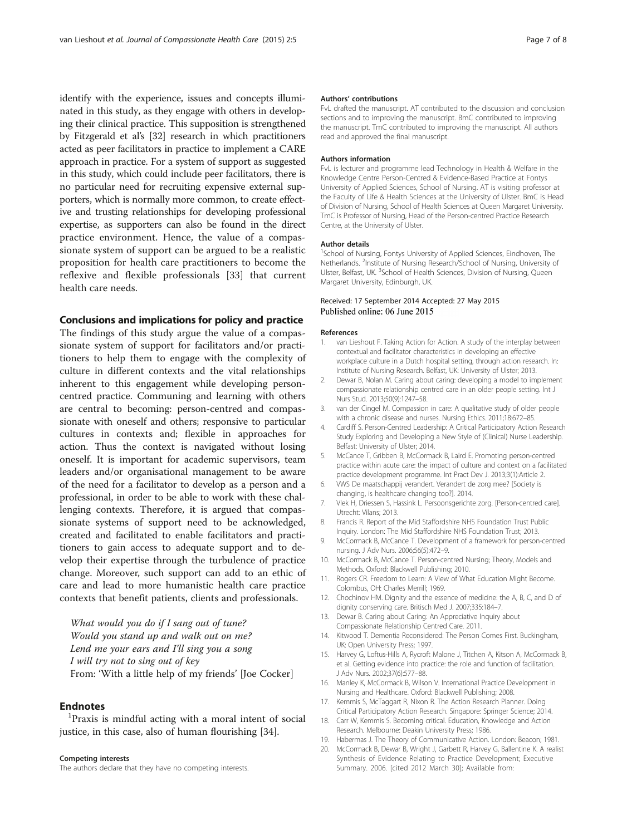<span id="page-6-0"></span>identify with the experience, issues and concepts illuminated in this study, as they engage with others in developing their clinical practice. This supposition is strengthened by Fitzgerald et al's [[32](#page-7-0)] research in which practitioners acted as peer facilitators in practice to implement a CARE approach in practice. For a system of support as suggested in this study, which could include peer facilitators, there is no particular need for recruiting expensive external supporters, which is normally more common, to create effective and trusting relationships for developing professional expertise, as supporters can also be found in the direct practice environment. Hence, the value of a compassionate system of support can be argued to be a realistic proposition for health care practitioners to become the reflexive and flexible professionals [\[33](#page-7-0)] that current health care needs.

#### Conclusions and implications for policy and practice

The findings of this study argue the value of a compassionate system of support for facilitators and/or practitioners to help them to engage with the complexity of culture in different contexts and the vital relationships inherent to this engagement while developing personcentred practice. Communing and learning with others are central to becoming: person-centred and compassionate with oneself and others; responsive to particular cultures in contexts and; flexible in approaches for action. Thus the context is navigated without losing oneself. It is important for academic supervisors, team leaders and/or organisational management to be aware of the need for a facilitator to develop as a person and a professional, in order to be able to work with these challenging contexts. Therefore, it is argued that compassionate systems of support need to be acknowledged, created and facilitated to enable facilitators and practitioners to gain access to adequate support and to develop their expertise through the turbulence of practice change. Moreover, such support can add to an ethic of care and lead to more humanistic health care practice contexts that benefit patients, clients and professionals.

What would you do if I sang out of tune? Would you stand up and walk out on me? Lend me your ears and I'll sing you a song I will try not to sing out of key From: 'With a little help of my friends' [Joe Cocker]

#### **Endnotes**

<sup>1</sup>Praxis is mindful acting with a moral intent of social justice, in this case, also of human flourishing [34].

#### Competing interests

The authors declare that they have no competing interests.

#### Authors' contributions

FvL drafted the manuscript. AT contributed to the discussion and conclusion sections and to improving the manuscript. BmC contributed to improving the manuscript. TmC contributed to improving the manuscript. All authors read and approved the final manuscript.

#### Authors information

FvL is lecturer and programme lead Technology in Health & Welfare in the Knowledge Centre Person-Centred & Evidence-Based Practice at Fontys University of Applied Sciences, School of Nursing. AT is visiting professor at the Faculty of Life & Health Sciences at the University of Ulster. BmC is Head of Division of Nursing, School of Health Sciences at Queen Margaret University. TmC is Professor of Nursing, Head of the Person-centred Practice Research Centre, at the University of Ulster.

#### Author details

<sup>1</sup>School of Nursing, Fontys University of Applied Sciences, Eindhoven, The Netherlands. <sup>2</sup>Institute of Nursing Research/School of Nursing, University of Ulster, Belfast, UK. <sup>3</sup>School of Health Sciences, Division of Nursing, Queen Margaret University, Edinburgh, UK.

#### Received: 17 September 2014 Accepted: 27 May 2015 Published online: 06 June 2015

#### References

- 1. van Lieshout F. Taking Action for Action. A study of the interplay between contextual and facilitator characteristics in developing an effective workplace culture in a Dutch hospital setting, through action research. In: Institute of Nursing Research. Belfast, UK: University of Ulster; 2013.
- 2. Dewar B, Nolan M. Caring about caring: developing a model to implement compassionate relationship centred care in an older people setting. Int J Nurs Stud. 2013;50(9):1247–58.
- 3. van der Cingel M. Compassion in care: A qualitative study of older people with a chronic disease and nurses. Nursing Ethics. 2011;18:672–85.
- 4. Cardiff S. Person-Centred Leadership: A Critical Participatory Action Research Study Exploring and Developing a New Style of (Clinical) Nurse Leadership. Belfast: University of Ulster; 2014.
- 5. McCance T, Gribben B, McCormack B, Laird E. Promoting person-centred practice within acute care: the impact of culture and context on a facilitated practice development programme. Int Pract Dev J. 2013;3(1):Article 2.
- 6. VWS De maatschappij verandert. Verandert de zorg mee? [Society is changing, is healthcare changing too?]. 2014.
- 7. Vlek H, Driessen S, Hassink L. Persoonsgerichte zorg. [Person-centred care]. Utrecht: Vilans; 2013.
- 8. Francis R. Report of the Mid Staffordshire NHS Foundation Trust Public Inquiry. London: The Mid Staffordshire NHS Foundation Trust; 2013.
- 9. McCormack B, McCance T. Development of a framework for person-centred nursing. J Adv Nurs. 2006;56(5):472–9.
- 10. McCormack B, McCance T. Person-centred Nursing; Theory, Models and Methods. Oxford: Blackwell Publishing; 2010.
- 11. Rogers CR. Freedom to Learn: A View of What Education Might Become. Colombus, OH: Charles Merrill; 1969.
- 12. Chochinov HM. Dignity and the essence of medicine: the A, B, C, and D of dignity conserving care. Britisch Med J. 2007;335:184–7.
- 13. Dewar B. Caring about Caring: An Appreciative Inquiry about Compassionate Relationship Centred Care. 2011.
- 14. Kitwood T. Dementia Reconsidered: The Person Comes First. Buckingham, UK: Open University Press; 1997.
- 15. Harvey G, Loftus-Hills A, Rycroft Malone J, Titchen A, Kitson A, McCormack B, et al. Getting evidence into practice: the role and function of facilitation. J Adv Nurs. 2002;37(6):577–88.
- 16. Manley K, McCormack B, Wilson V. International Practice Development in Nursing and Healthcare. Oxford: Blackwell Publishing; 2008.
- 17. Kemmis S, McTaggart R, Nixon R. The Action Research Planner. Doing Critical Participatory Action Research. Singapore: Springer Science; 2014.
- 18. Carr W, Kemmis S. Becoming critical. Education, Knowledge and Action Research. Melbourne: Deakin University Press; 1986.
- 19. Habermas J. The Theory of Communicative Action. London: Beacon; 1981.
- 20. McCormack B, Dewar B, Wright J, Garbett R, Harvey G, Ballentine K. A realist Synthesis of Evidence Relating to Practice Development; Executive Summary. 2006. [cited 2012 March 30]; Available from: